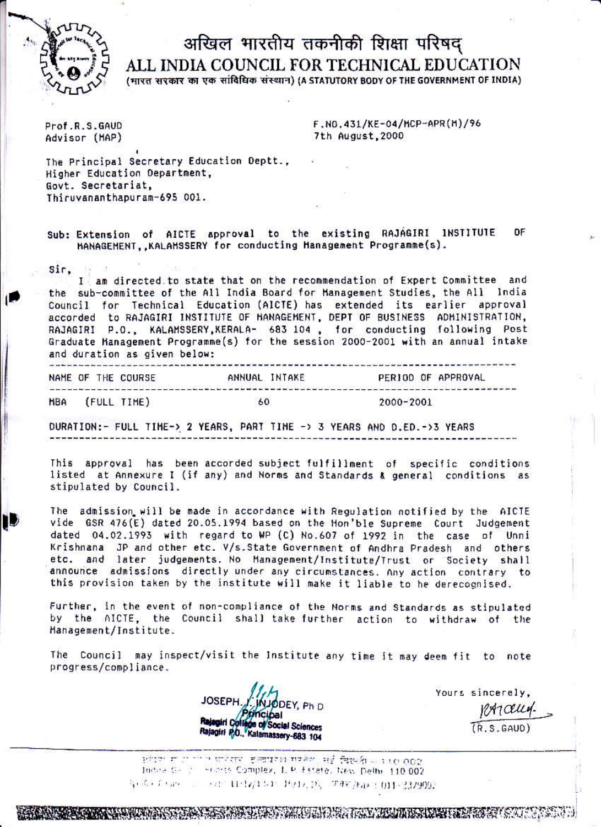

## अखिल भारतीय तकनीकी शिक्षा परिषद् ALL INDIA COUNCIL FOR TECHNICAL EDUCATION

(मारत सरकार का एक सांविधिक संस्थान) (A STATUTORY BODY OF THE GOVERNMENT OF INDIA)

Prof.R.S.GAUD Advisor (MAP) F.NO.431/KE-04/MCP-APR(M)/96 7th August, 2000

The Principal Secretary Education Deptt., Higher Education Department, Govt. Secretariat, Thiruvananthapuram-695 001.

Sub: Extension of AICTE approval to the existing RAJAGIRI INSTITUTE **DF** MANAGEMENT, , KALAMSSERY for conducting Management Programme(s).

Sir.

I am directed to state that on the recommendation of Expert Committee and the sub-committee of the All India Board for Hanagement Studies, the All India Council for Technical Education (AICTE) has extended its earlier approval accorded to RAJAGIRI INSTITUTE OF HANAGEMENT, DEPT OF BUSINESS ADMINISTRATION, RAJAGIRI P.O., KALAMSSERY, KERALA- 683 104, for conducting following Post Graduate Management Programme(s) for the session 2000-2001 with an annual intake and duration as given below:

|     |  | NAME OF THE COURSE |    | ANNUAL INTAKE |           | PERIOD OF APPROVAL |
|-----|--|--------------------|----|---------------|-----------|--------------------|
| MRA |  | (FULL TIME)        | 60 |               | 2000-2001 |                    |

DURATION:- FULL TIME-> 2 YEARS, PART TIME -> 3 YEARS AND D.ED. -> 3 YEARS

This approval has been accorded subject fulfillment of specific conditions listed at Annexure I (if any) and Norms and Standards & general conditions as stipulated by Council.

The admission will be made in accordance with Regulation notified by the AICTE vide GSR 476(E) dated 20.05.1994 based on the Hon'ble Supreme Court Judgement dated 04.02.1993 with regard to WP (C) No.607 of 1992 in the case of Unni Krishnana JP and other etc. V/s. State Government of Andhra Pradesh and others etc. and later judgements. No Management/Institute/Trust or Society shall announce admissions directly under any circumstances. Any action contrary to this provision taken by the institute will make it liable to he derecognised.

Further, in the event of non-compliance of the Norms and Standards as stipulated by the AICTE, the Council shall take further action to withdraw of the Management/Institute.

The Council may inspect/visit the Institute any time it may deem fit to note progress/compliance.

DEY, Ph D Dal Rajagiri Collage of Social Sciences Rajagiri P.O., Kalamassery-683 104

Yours sincerely. PICELLA.  $(R, S, GAUD)$ 

ਸਾਂਤਾ ਸਾਂਤਾ <sup>ਦਾ</sup> ਦਹਿਸ਼ਵ ਵਾਰਧਾਮ ਸਾਲੇਟ, ਸਭੰ ਬਿਲਮੀ -- 110.002 Indus Gallin Interts Complex, I. P. Estate, New Delhi 110,002 koši (sag − saj 11:17)151 Hz17,25, 7747,952 (011-332900)

A MARINE AND AN ANGELE AND A COMPANY OF THE CONTRACT OF A CONTRACT OF A CONTRACT OF A CONTRACT OF A CONTRACT O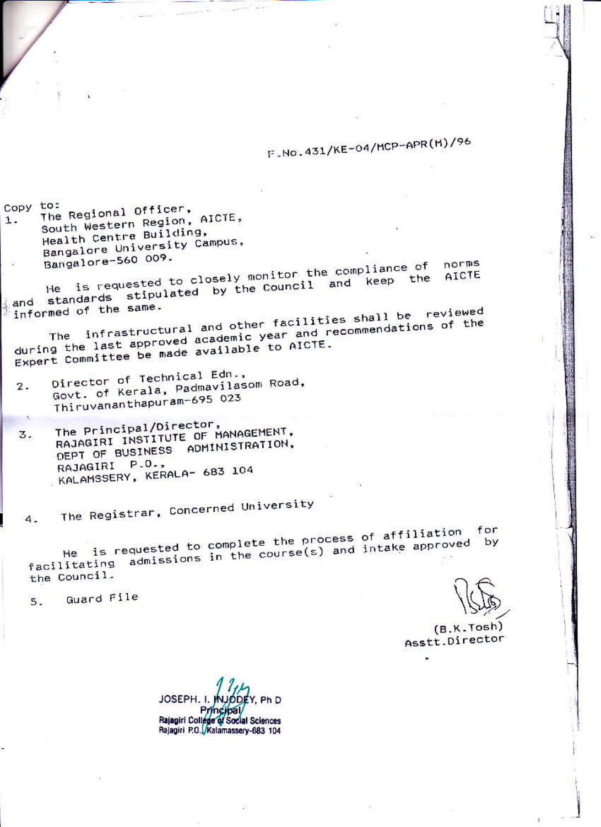## F-No.431/KE-04/MCP-APR(M)/96

Copy to: The Regional Officer, South Western Region, AICTE, 1. Health Centre Building, Bangalore University Campus, Bangalore-560 009.

He is requested to closely monitor the compliance of and standards stipulated by the Council and keep the<br>informed of the same AICTE informed of the same.

The infrastructural and other facilities shall be reviewed during the last approved academic year and recommendations of the Expert Committee be made available to AICTE.

- Director of Technical Edn., Govt. of Kerala, Padmavilasom Road,  $2.$ Thiruvananthapuram-695 023
- The Principal/Director, RAJAGIRI INSTITUTE OF MANAGEMENT, 3. DEPT OF BUSINESS ADMINISTRATION,  $P.0.$ RAJAGIRI KALAMSSERY, KERALA- 683 104

The Registrar, Concerned University

He is requested to complete the process of affiliation for facilitating admissions in the course(s) and intake approved by the Council.

Guard File  $5 -$ 

4.

 $(B.K.Tosh)$ Asstt.Director

norms

JOSEPH. I.  $k$ . Ph D 741 Rajagiri College of Social Sciences Rajagiri P.O. Kalamassery-683 104